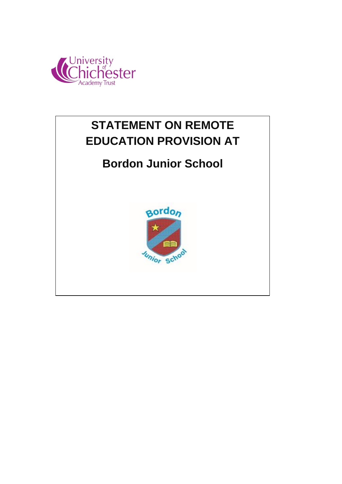



# **Bordon Junior School**

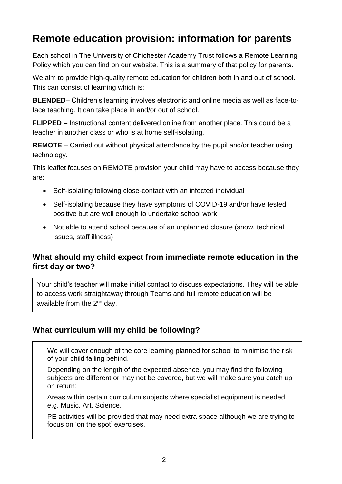## **Remote education provision: information for parents**

Each school in The University of Chichester Academy Trust follows a Remote Learning Policy which you can find on our website. This is a summary of that policy for parents.

We aim to provide high-quality remote education for children both in and out of school. This can consist of learning which is:

**BLENDED**– Children's learning involves electronic and online media as well as face-toface teaching. It can take place in and/or out of school.

**FLIPPED** – Instructional content delivered online from another place. This could be a teacher in another class or who is at home self-isolating.

**REMOTE** – Carried out without physical attendance by the pupil and/or teacher using technology.

This leaflet focuses on REMOTE provision your child may have to access because they are:

- Self-isolating following close-contact with an infected individual
- Self-isolating because they have symptoms of COVID-19 and/or have tested positive but are well enough to undertake school work
- Not able to attend school because of an unplanned closure (snow, technical issues, staff illness)

#### **What should my child expect from immediate remote education in the first day or two?**

Your child's teacher will make initial contact to discuss expectations. They will be able to access work straightaway through Teams and full remote education will be available from the  $2<sup>nd</sup>$  dav.

#### **What curriculum will my child be following?**

We will cover enough of the core learning planned for school to minimise the risk of your child falling behind.

Depending on the length of the expected absence, you may find the following subjects are different or may not be covered, but we will make sure you catch up on return:

Areas within certain curriculum subjects where specialist equipment is needed e.g. Music, Art, Science.

PE activities will be provided that may need extra space although we are trying to focus on 'on the spot' exercises.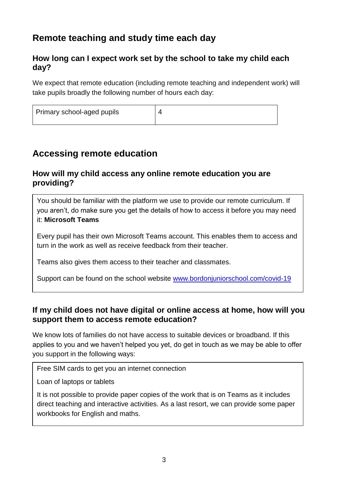## **Remote teaching and study time each day**

#### **How long can I expect work set by the school to take my child each day?**

We expect that remote education (including remote teaching and independent work) will take pupils broadly the following number of hours each day:

| Primary school-aged pupils |  |
|----------------------------|--|
|----------------------------|--|

### **Accessing remote education**

#### **How will my child access any online remote education you are providing?**

You should be familiar with the platform we use to provide our remote curriculum. If you aren't, do make sure you get the details of how to access it before you may need it: **Microsoft Teams**

Every pupil has their own Microsoft Teams account. This enables them to access and turn in the work as well as receive feedback from their teacher.

Teams also gives them access to their teacher and classmates.

Support can be found on the school website [www.bordonjuniorschool.com/covid-19](http://www.bordonjuniorschool.com/covid-19)

#### **If my child does not have digital or online access at home, how will you support them to access remote education?**

We know lots of families do not have access to suitable devices or broadband. If this applies to you and we haven't helped you yet, do get in touch as we may be able to offer you support in the following ways:

Free SIM cards to get you an internet connection

Loan of laptops or tablets

It is not possible to provide paper copies of the work that is on Teams as it includes direct teaching and interactive activities. As a last resort, we can provide some paper workbooks for English and maths.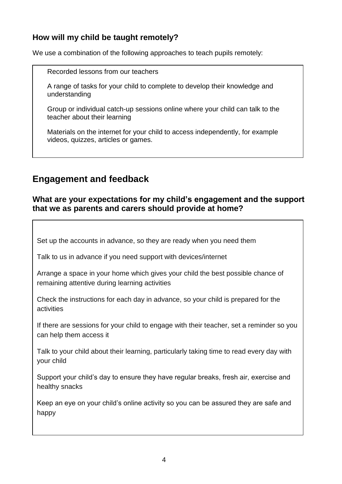#### **How will my child be taught remotely?**

We use a combination of the following approaches to teach pupils remotely:

Recorded lessons from our teachers

A range of tasks for your child to complete to develop their knowledge and understanding

Group or individual catch-up sessions online where your child can talk to the teacher about their learning

Materials on the internet for your child to access independently, for example videos, quizzes, articles or games.

## **Engagement and feedback**

#### **What are your expectations for my child's engagement and the support that we as parents and carers should provide at home?**

Set up the accounts in advance, so they are ready when you need them

Talk to us in advance if you need support with devices/internet

Arrange a space in your home which gives your child the best possible chance of remaining attentive during learning activities

Check the instructions for each day in advance, so your child is prepared for the activities

If there are sessions for your child to engage with their teacher, set a reminder so you can help them access it

Talk to your child about their learning, particularly taking time to read every day with your child

Support your child's day to ensure they have regular breaks, fresh air, exercise and healthy snacks

Keep an eye on your child's online activity so you can be assured they are safe and happy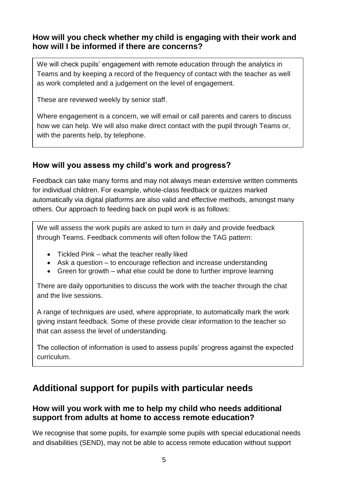#### **How will you check whether my child is engaging with their work and how will I be informed if there are concerns?**

We will check pupils' engagement with remote education through the analytics in Teams and by keeping a record of the frequency of contact with the teacher as well as work completed and a judgement on the level of engagement.

These are reviewed weekly by senior staff.

Where engagement is a concern, we will email or call parents and carers to discuss how we can help. We will also make direct contact with the pupil through Teams or, with the parents help, by telephone.

#### **How will you assess my child's work and progress?**

Feedback can take many forms and may not always mean extensive written comments for individual children. For example, whole-class feedback or quizzes marked automatically via digital platforms are also valid and effective methods, amongst many others. Our approach to feeding back on pupil work is as follows:

We will assess the work pupils are asked to turn in daily and provide feedback through Teams. Feedback comments will often follow the TAG pattern:

- Tickled Pink what the teacher really liked
- Ask a question to encourage reflection and increase understanding
- Green for growth what else could be done to further improve learning

There are daily opportunities to discuss the work with the teacher through the chat and the live sessions.

A range of techniques are used, where appropriate, to automatically mark the work giving instant feedback. Some of these provide clear information to the teacher so that can assess the level of understanding.

The collection of information is used to assess pupils' progress against the expected curriculum.

## **Additional support for pupils with particular needs**

#### **How will you work with me to help my child who needs additional support from adults at home to access remote education?**

We recognise that some pupils, for example some pupils with special educational needs and disabilities (SEND), may not be able to access remote education without support